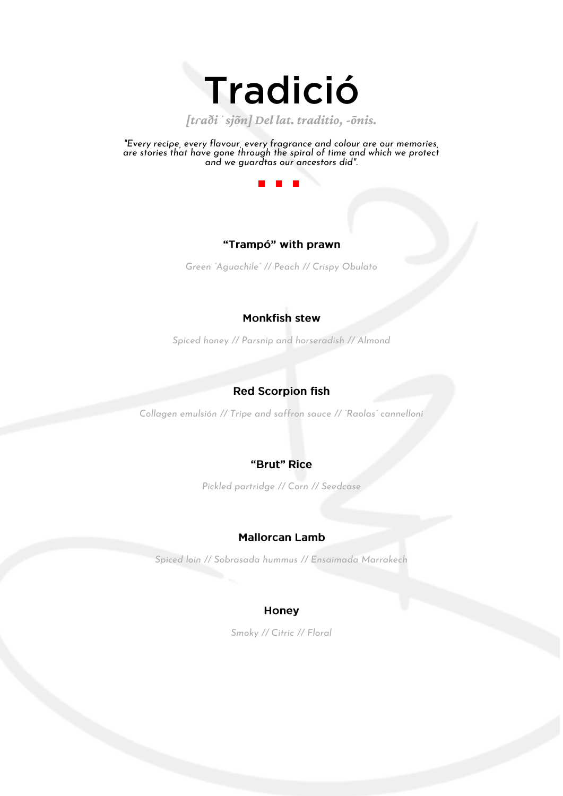

*[tɾaðiˈsjõn] Del lat. traditio, -ōnis.*

*"Every recipe, every flavour, every fragrance and colour are our memories, are stories that have gone through the spiral of time and which we protect and we guardtas our ancestors did".*



# "Trampó" with prawn

*Green "Aguachile" // Peach // Crispy Obulato*

# **Monkfish stew**

*Spiced honey // Parsnip and horseradish // Almond*

# **Red Scorpion fish**

*Collagen emulsión // Tripe and saffron sauce // "Raolas" cannelloni*

# "Brut" Rice

*Pickled partridge // Corn // Seedcase*

### **Mallorcan Lamb**

*Spiced loin // Sobrasada hummus // Ensaimada Marrakech*

#### **Honey**

*Smoky // Citric // Floral*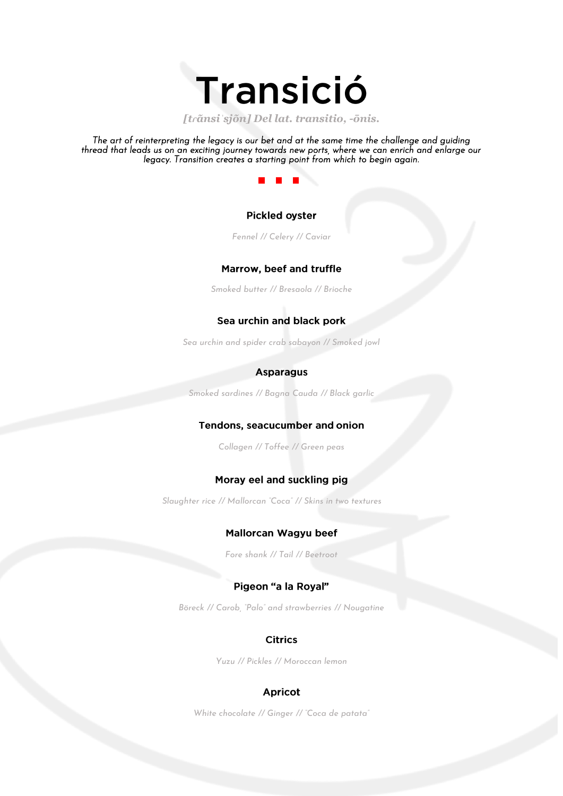

*[tɾãnsiˈsjõn] Del lat. transitio, -ōnis.*

*The art of reinterpreting the legacy is our bet and at the same time the challenge and guiding thread that leads us on an exciting journey towards new ports, where we can enrich and enlarge our legacy. Transition creates a starting point from which to begin again.* 



#### **Pickled ovster**

*Fennel // Celery // Caviar*

### Marrow, beef and truffle

*Smoked butter // Bresaola // Brioche*

### Sea urchin and black pork

*Sea urchin and spider crab sabayon // Smoked jowl*

#### **Asparagus**

*Smoked sardines // Bagna Cauda // Black garlic*

#### **Tendons, seacucumber and onion**

*Collagen // Toffee // Green peas*

#### Moray eel and suckling pig

*Slaughter rice // Mallorcan "Coca" // Skins in two textures*

#### Mallorcan Wagyu beef

*Fore shank // Tail // Beetroot*

### Pigeon "a la Roval"

*Böreck // Carob, "Palo" and strawberries // Nougatine*

### **Citrics**

*Yuzu // Pickles // Moroccan lemon*

#### **Apricot**

*White chocolate // Ginger // "Coca de patata"*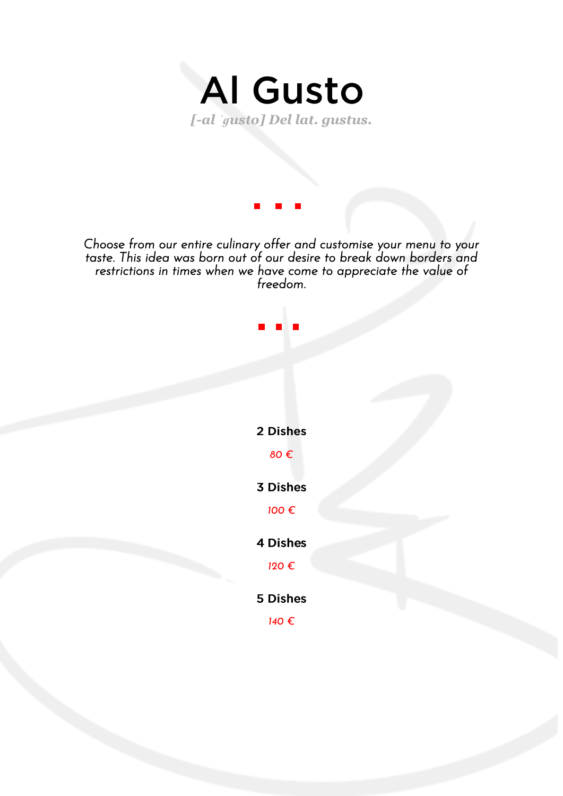